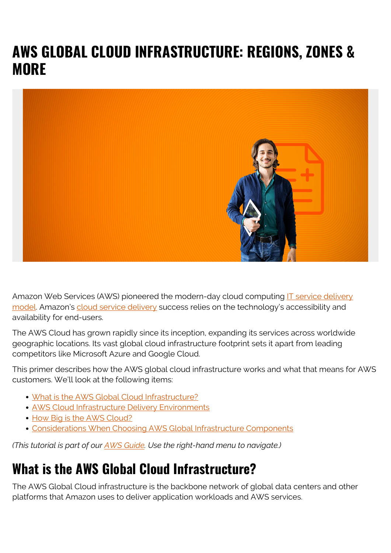# **AWS GLOBAL CLOUD INFRASTRUCTURE: REGIONS, ZONES & MORE**



Amazon Web Services (AWS) pioneered the modern-day cloud computing [IT service delivery](https://blogs.bmc.com/blogs/it-service/) [model.](https://blogs.bmc.com/blogs/it-service/) Amazon's [cloud service delivery](https://blogs.bmc.com/blogs/saas-vs-paas-vs-iaas-whats-the-difference-and-how-to-choose/) success relies on the technology's accessibility and availability for end-users.

The AWS Cloud has grown rapidly since its inception, expanding its services across worldwide geographic locations. Its vast global cloud infrastructure footprint sets it apart from leading competitors like Microsoft Azure and Google Cloud.

This primer describes how the AWS global cloud infrastructure works and what that means for AWS customers. We'll look at the following items:

- [What is the AWS Global Cloud Infrastructure?](#page--1-0)
- [AWS Cloud Infrastructure Delivery Environments](#page--1-0)
- [How Big is the AWS Cloud?](#page--1-0)
- [Considerations When Choosing AWS Global Infrastructure Components](#page--1-0)

*(This tutorial is part of our [AWS Guide](https://blogs.bmc.com/blogs/aws-serverless-applications/). Use the right-hand menu to navigate.)*

## **What is the AWS Global Cloud Infrastructure?**

The AWS Global Cloud infrastructure is the backbone network of global data centers and other platforms that Amazon uses to deliver application workloads and AWS services.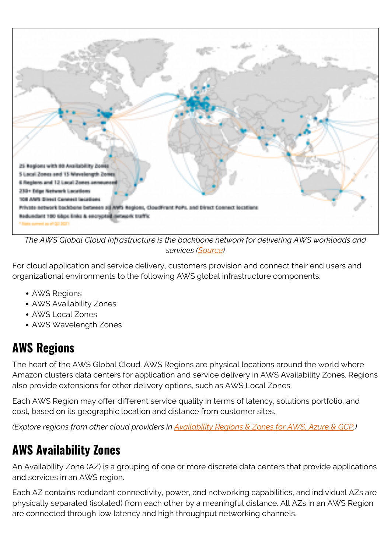

*The AWS Global Cloud Infrastructure is the backbone network for delivering AWS workloads and services ([Source](https://aws.amazon.com/blogs/networking-and-content-delivery/introduction-to-network-transformation-on-aws-part-1/))*

For cloud application and service delivery, customers provision and connect their end users and organizational environments to the following AWS global infrastructure components:

- AWS Regions
- AWS Availability Zones
- AWS Local Zones
- AWS Wavelength Zones

### **AWS Regions**

The heart of the AWS Global Cloud. AWS Regions are physical locations around the world where Amazon clusters data centers for application and service delivery in AWS Availability Zones. Regions also provide extensions for other delivery options, such as AWS Local Zones.

Each AWS Region may offer different service quality in terms of latency, solutions portfolio, and cost, based on its geographic location and distance from customer sites.

*(Explore regions from other cloud providers in [Availability Regions & Zones for AWS, Azure & GCP](https://blogs.bmc.com/blogs/cloud-availability-regions-zones/).)*

### **AWS Availability Zones**

An Availability Zone (AZ) is a grouping of one or more discrete data centers that provide applications and services in an AWS region.

Each AZ contains redundant connectivity, power, and networking capabilities, and individual AZs are physically separated (isolated) from each other by a meaningful distance. All AZs in an AWS Region are connected through low latency and high throughput networking channels.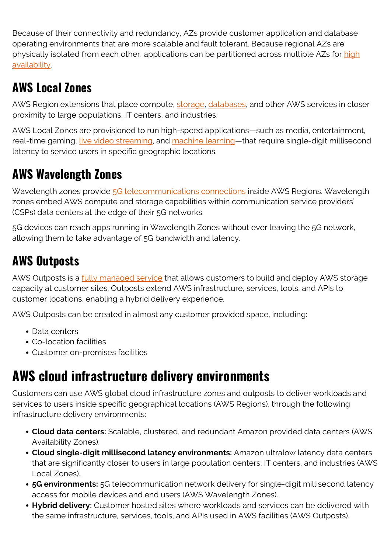Because of their connectivity and redundancy, AZs provide customer application and database operating environments that are more scalable and fault tolerant. Because regional AZs are physically isolated from each other, applications can be partitioned across multiple AZs for [high](https://blogs.bmc.com/blogs/high-availability/) [availability](https://blogs.bmc.com/blogs/high-availability/).

### **AWS Local Zones**

AWS Region extensions that place compute, [storage](https://blogs.bmc.com/blogs/cold-vs-hot-data-storage/), [databases](https://blogs.bmc.com/blogs/data-lake-vs-data-warehouse-vs-database-whats-the-difference/), and other AWS services in closer proximity to large populations, IT centers, and industries.

AWS Local Zones are provisioned to run high-speed applications—such as media, entertainment, real-time gaming, [live video streaming](https://blogs.bmc.com/blogs/data-streaming/), and [machine learning](https://blogs.bmc.com/blogs/artificial-intelligence-vs-machine-learning/)—that require single-digit millisecond latency to service users in specific geographic locations.

### **AWS Wavelength Zones**

Wavelength zones provide [5G telecommunications connections](https://blogs.bmc.com/blogs/enterprise-5g/) inside AWS Regions. Wavelength zones embed AWS compute and storage capabilities within communication service providers' (CSPs) data centers at the edge of their 5G networks.

5G devices can reach apps running in Wavelength Zones without ever leaving the 5G network, allowing them to take advantage of 5G bandwidth and latency.

### **AWS Outposts**

AWS Outposts is a **fully managed service** that allows customers to build and deploy AWS storage capacity at customer sites. Outposts extend AWS infrastructure, services, tools, and APIs to customer locations, enabling a hybrid delivery experience.

AWS Outposts can be created in almost any customer provided space, including:

- Data centers
- Co-location facilities
- Customer on-premises facilities

# **AWS cloud infrastructure delivery environments**

Customers can use AWS global cloud infrastructure zones and outposts to deliver workloads and services to users inside specific geographical locations (AWS Regions), through the following infrastructure delivery environments:

- **Cloud data centers:** Scalable, clustered, and redundant Amazon provided data centers (AWS Availability Zones).
- **Cloud single-digit millisecond latency environments:** Amazon ultralow latency data centers that are significantly closer to users in large population centers, IT centers, and industries (AWS Local Zones).
- **5G environments:** 5G telecommunication network delivery for single-digit millisecond latency access for mobile devices and end users (AWS Wavelength Zones).
- **Hybrid delivery:** Customer hosted sites where workloads and services can be delivered with the same infrastructure, services, tools, and APIs used in AWS facilities (AWS Outposts).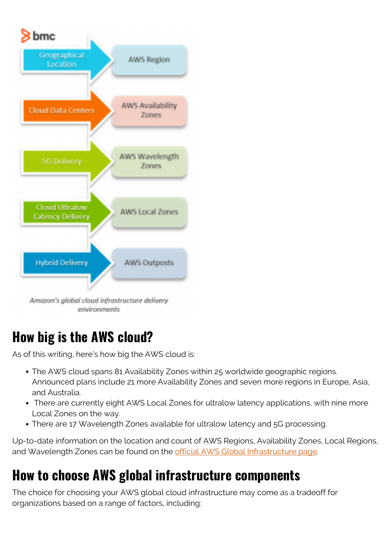

## **How big is the AWS cloud?**

As of this writing, here's how big the AWS cloud is:

- The AWS cloud spans 81 Availability Zones within 25 worldwide geographic regions. Announced plans include 21 more Availability Zones and seven more regions in Europe, Asia, and Australia.
- There are currently eight AWS Local Zones for ultralow latency applications, with nine more Local Zones on the way.
- There are 17 Wavelength Zones available for ultralow latency and 5G processing.

Up-to-date information on the location and count of AWS Regions, Availability Zones, Local Regions, and Wavelength Zones can be found on the [official AWS Global Infrastructure page.](https://aws.amazon.com/about-aws/global-infrastructure/)

## **How to choose AWS global infrastructure components**

The choice for choosing your AWS global cloud infrastructure may come as a tradeoff for organizations based on a range of factors, including: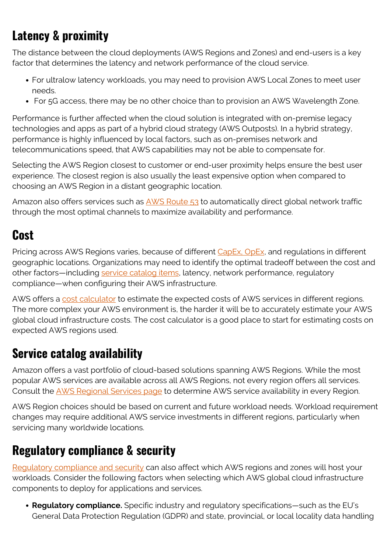## **Latency & proximity**

The distance between the cloud deployments (AWS Regions and Zones) and end-users is a key factor that determines the latency and network performance of the cloud service.

- For ultralow latency workloads, you may need to provision AWS Local Zones to meet user needs.
- For 5G access, there may be no other choice than to provision an AWS Wavelength Zone.

Performance is further affected when the cloud solution is integrated with on-premise legacy technologies and apps as part of a hybrid cloud strategy (AWS Outposts). In a hybrid strategy, performance is highly influenced by local factors, such as on-premises network and telecommunications speed, that AWS capabilities may not be able to compensate for.

Selecting the AWS Region closest to customer or end-user proximity helps ensure the best user experience. The closest region is also usually the least expensive option when compared to choosing an AWS Region in a distant geographic location.

Amazon also offers services such as [AWS Route 53](https://blogs.bmc.com/blogs/an-introduction-to-aws-route-53/) to automatically direct global network traffic through the most optimal channels to maximize availability and performance.

### **Cost**

Pricing across AWS Regions varies, because of different [CapEx, OpEx,](https://blogs.bmc.com/blogs/capex-vs-opex/) and regulations in different geographic locations. Organizations may need to identify the optimal tradeoff between the cost and other factors—including [service catalog items](https://blogs.bmc.com/blogs/it-service-catalog/), latency, network performance, regulatory compliance—when configuring their AWS infrastructure.

AWS offers a [cost calculator](https://calculator.s3.amazonaws.com/index.html) to estimate the expected costs of AWS services in different regions. The more complex your AWS environment is, the harder it will be to accurately estimate your AWS global cloud infrastructure costs. The cost calculator is a good place to start for estimating costs on expected AWS regions used.

#### **Service catalog availability**

Amazon offers a vast portfolio of cloud-based solutions spanning AWS Regions. While the most popular AWS services are available across all AWS Regions, not every region offers all services. Consult the [AWS Regional Services page](https://aws.amazon.com/about-aws/global-infrastructure/regional-product-services/) to determine AWS service availability in every Region.

AWS Region choices should be based on current and future workload needs. Workload requirement changes may require additional AWS service investments in different regions, particularly when servicing many worldwide locations.

### **Regulatory compliance & security**

[Regulatory compliance and security](https://blogs.bmc.com/blogs/it-security-vs-it-compliance-whats-the-difference/) can also affect which AWS regions and zones will host your workloads. Consider the following factors when selecting which AWS global cloud infrastructure components to deploy for applications and services.

**Regulatory compliance.** Specific industry and regulatory specifications—such as the EU's General Data Protection Regulation (GDPR) and state, provincial, or local locality data handling